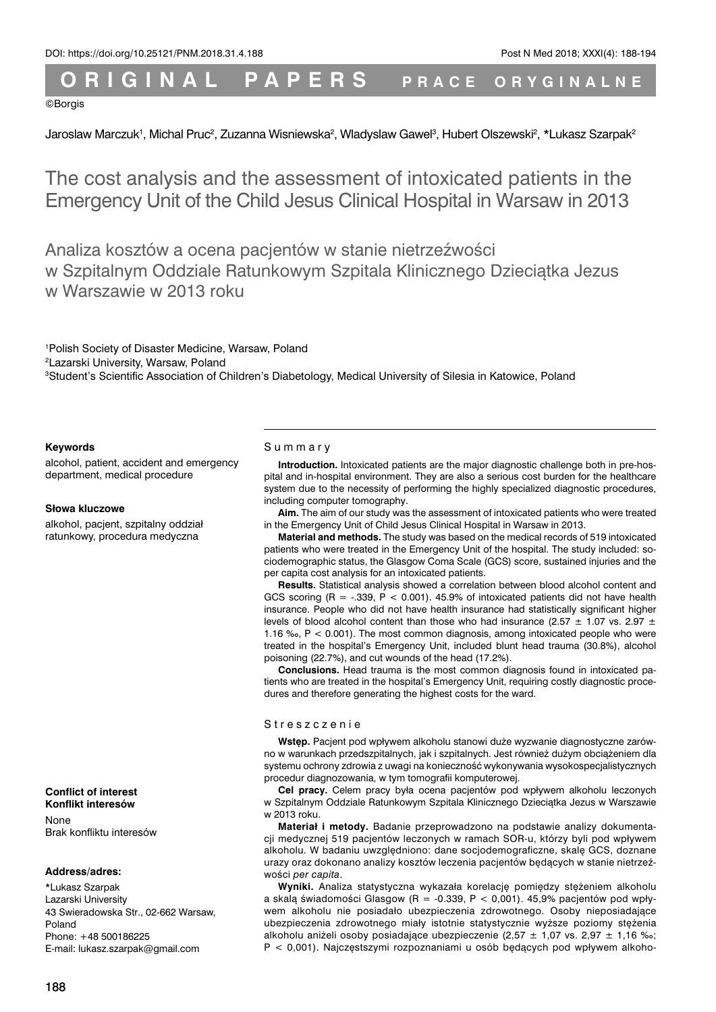# **O R I G I N A L P A P E R S P RACE O RYGINALNE**

#### ©Borgis

Jaroslaw Marczuk', Michal Pruc<sup>2</sup>, Zuzanna Wisniewska<sup>2</sup>, Wladyslaw Gawel<sup>3</sup>, Hubert Olszewski<sup>2</sup>, \*Lukasz Szarpak<sup>2</sup>

The cost analysis and the assessment of intoxicated patients in the Emergency Unit of the Child Jesus Clinical Hospital in Warsaw in 2013

Analiza kosztów a ocena pacjentów w stanie nietrzeźwości w Szpitalnym Oddziale Ratunkowym Szpitala Klinicznego Dzieciątka Jezus w Warszawie w 2013 roku

1 Polish Society of Disaster Medicine, Warsaw, Poland 2 Lazarski University, Warsaw, Poland 3 Student's Scientific Association of Children's Diabetology, Medical University of Silesia in Katowice, Poland

#### **Keywords**

alcohol, patient, accident and emergency department, medical procedure

#### **Słowa kluczowe**

alkohol, pacjent, szpitalny oddział ratunkowy, procedura medyczna

#### **Conflict of interest Konflikt interesów**

None Brak konfliktu interesów

#### **Address/adres:**

\*Lukasz Szarpak Lazarski University 43 Swieradowska Str., 02-662 Warsaw, Poland Phone: +48 500186225 E-mail: lukasz.szarpak@gmail.com

#### Summary

**Introduction.** Intoxicated patients are the major diagnostic challenge both in pre-hospital and in-hospital environment. They are also a serious cost burden for the healthcare system due to the necessity of performing the highly specialized diagnostic procedures, including computer tomography.

**Aim.** The aim of our study was the assessment of intoxicated patients who were treated in the Emergency Unit of Child Jesus Clinical Hospital in Warsaw in 2013.

**Material and methods.** The study was based on the medical records of 519 intoxicated patients who were treated in the Emergency Unit of the hospital. The study included: sociodemographic status, the Glasgow Coma Scale (GCS) score, sustained injuries and the per capita cost analysis for an intoxicated patients.

**Results.** Statistical analysis showed a correlation between blood alcohol content and GCS scoring  $(R = -.339, P < 0.001)$ . 45.9% of intoxicated patients did not have health insurance. People who did not have health insurance had statistically significant higher levels of blood alcohol content than those who had insurance (2.57  $\pm$  1.07 vs. 2.97  $\pm$ 1.16 ‰, P < 0.001). The most common diagnosis, among intoxicated people who were treated in the hospital's Emergency Unit, included blunt head trauma (30.8%), alcohol poisoning (22.7%), and cut wounds of the head (17.2%).

**Conclusions.** Head trauma is the most common diagnosis found in intoxicated patients who are treated in the hospital's Emergency Unit, requiring costly diagnostic procedures and therefore generating the highest costs for the ward.

#### Streszczenie

**Wstęp.** Pacjent pod wpływem alkoholu stanowi duże wyzwanie diagnostyczne zarówno w warunkach przedszpitalnych, jak i szpitalnych. Jest również dużym obciążeniem dla systemu ochrony zdrowia z uwagi na konieczność wykonywania wysokospecjalistycznych procedur diagnozowania, w tym tomografii komputerowej.

**Cel pracy.** Celem pracy była ocena pacjentów pod wpływem alkoholu leczonych w Szpitalnym Oddziale Ratunkowym Szpitala Klinicznego Dzieciątka Jezus w Warszawie w 2013 roku.

**Materiał i metody.** Badanie przeprowadzono na podstawie analizy dokumentacji medycznej 519 pacjentów leczonych w ramach SOR-u, którzy byli pod wpływem alkoholu. W badaniu uwzględniono: dane socjodemograficzne, skalę GCS, doznane urazy oraz dokonano analizy kosztów leczenia pacjentów będących w stanie nietrzeźwości *per capita*.

**Wyniki.** Analiza statystyczna wykazała korelację pomiędzy stężeniem alkoholu a skalą świadomości Glasgow (R = -0.339, P < 0,001). 45,9% pacjentów pod wpływem alkoholu nie posiadało ubezpieczenia zdrowotnego. Osoby nieposiadające ubezpieczenia zdrowotnego miały istotnie statystycznie wyższe poziomy stężenia alkoholu aniżeli osoby posiadające ubezpieczenie (2,57  $\pm$  1,07 vs. 2,97  $\pm$  1,16 ‰; P < 0,001). Najczęstszymi rozpoznaniami u osób będących pod wpływem alkoho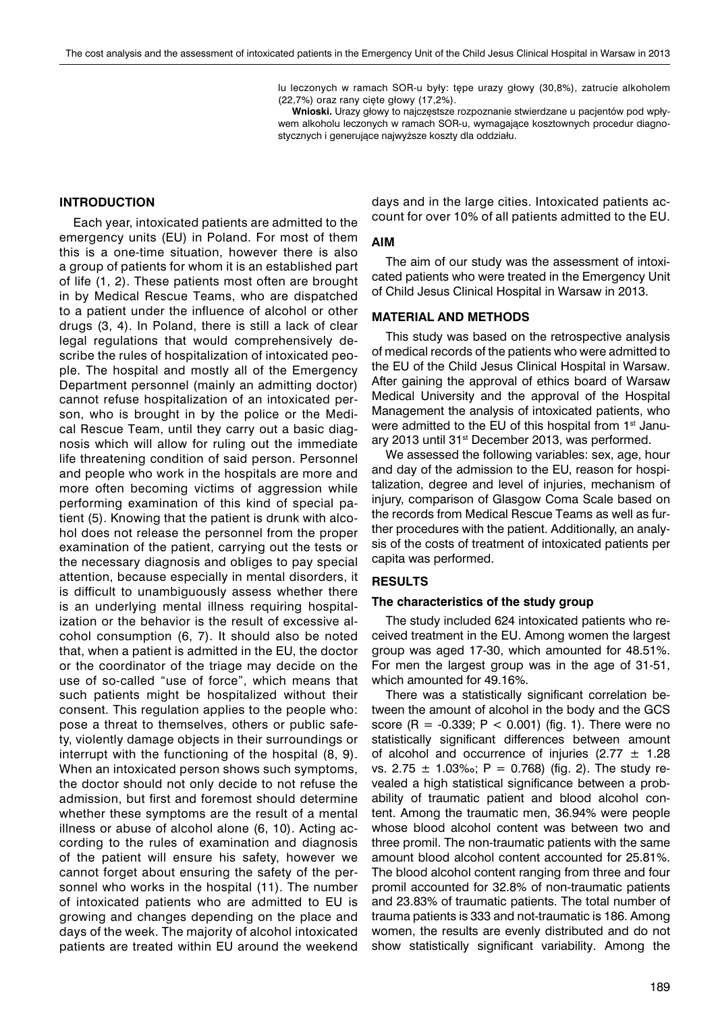lu leczonych w ramach SOR-u były: tępe urazy głowy (30,8%), zatrucie alkoholem (22,7%) oraz rany cięte głowy (17,2%).

**Wnioski.** Urazy głowy to najczęstsze rozpoznanie stwierdzane u pacjentów pod wpływem alkoholu leczonych w ramach SOR-u, wymagające kosztownych procedur diagnostycznych i generujące najwyższe koszty dla oddziału.

# **INTRODUCTION**

Each year, intoxicated patients are admitted to the emergency units (EU) in Poland. For most of them this is a one-time situation, however there is also a group of patients for whom it is an established part of life (1, 2). These patients most often are brought in by Medical Rescue Teams, who are dispatched to a patient under the influence of alcohol or other drugs (3, 4). In Poland, there is still a lack of clear legal regulations that would comprehensively describe the rules of hospitalization of intoxicated people. The hospital and mostly all of the Emergency Department personnel (mainly an admitting doctor) cannot refuse hospitalization of an intoxicated person, who is brought in by the police or the Medical Rescue Team, until they carry out a basic diagnosis which will allow for ruling out the immediate life threatening condition of said person. Personnel and people who work in the hospitals are more and more often becoming victims of aggression while performing examination of this kind of special patient (5). Knowing that the patient is drunk with alcohol does not release the personnel from the proper examination of the patient, carrying out the tests or the necessary diagnosis and obliges to pay special attention, because especially in mental disorders, it is difficult to unambiguously assess whether there is an underlying mental illness requiring hospitalization or the behavior is the result of excessive alcohol consumption (6, 7). It should also be noted that, when a patient is admitted in the EU, the doctor or the coordinator of the triage may decide on the use of so-called "use of force", which means that such patients might be hospitalized without their consent. This regulation applies to the people who: pose a threat to themselves, others or public safety, violently damage objects in their surroundings or interrupt with the functioning of the hospital (8, 9). When an intoxicated person shows such symptoms, the doctor should not only decide to not refuse the admission, but first and foremost should determine whether these symptoms are the result of a mental illness or abuse of alcohol alone (6, 10). Acting according to the rules of examination and diagnosis of the patient will ensure his safety, however we cannot forget about ensuring the safety of the personnel who works in the hospital (11). The number of intoxicated patients who are admitted to EU is growing and changes depending on the place and days of the week. The majority of alcohol intoxicated patients are treated within EU around the weekend

days and in the large cities. Intoxicated patients account for over 10% of all patients admitted to the EU.

## **AIM**

The aim of our study was the assessment of intoxicated patients who were treated in the Emergency Unit of Child Jesus Clinical Hospital in Warsaw in 2013.

## **MATERIAL AND METHODS**

This study was based on the retrospective analysis of medical records of the patients who were admitted to the EU of the Child Jesus Clinical Hospital in Warsaw. After gaining the approval of ethics board of Warsaw Medical University and the approval of the Hospital Management the analysis of intoxicated patients, who were admitted to the EU of this hospital from 1<sup>st</sup> January 2013 until 31<sup>st</sup> December 2013, was performed.

We assessed the following variables: sex, age, hour and day of the admission to the EU, reason for hospitalization, degree and level of injuries, mechanism of injury, comparison of Glasgow Coma Scale based on the records from Medical Rescue Teams as well as further procedures with the patient. Additionally, an analysis of the costs of treatment of intoxicated patients per capita was performed.

## **RESULTS**

#### **The characteristics of the study group**

The study included 624 intoxicated patients who received treatment in the EU. Among women the largest group was aged 17-30, which amounted for 48.51%. For men the largest group was in the age of 31-51, which amounted for 49.16%.

There was a statistically significant correlation between the amount of alcohol in the body and the GCS score  $(R = -0.339; P < 0.001)$  (fig. 1). There were no statistically significant differences between amount of alcohol and occurrence of injuries (2.77  $\pm$  1.28 vs. 2.75  $\pm$  1.03‰; P = 0.768) (fig. 2). The study revealed a high statistical significance between a probability of traumatic patient and blood alcohol content. Among the traumatic men, 36.94% were people whose blood alcohol content was between two and three promil. The non-traumatic patients with the same amount blood alcohol content accounted for 25.81%. The blood alcohol content ranging from three and four promil accounted for 32.8% of non-traumatic patients and 23.83% of traumatic patients. The total number of trauma patients is 333 and not-traumatic is 186. Among women, the results are evenly distributed and do not show statistically significant variability. Among the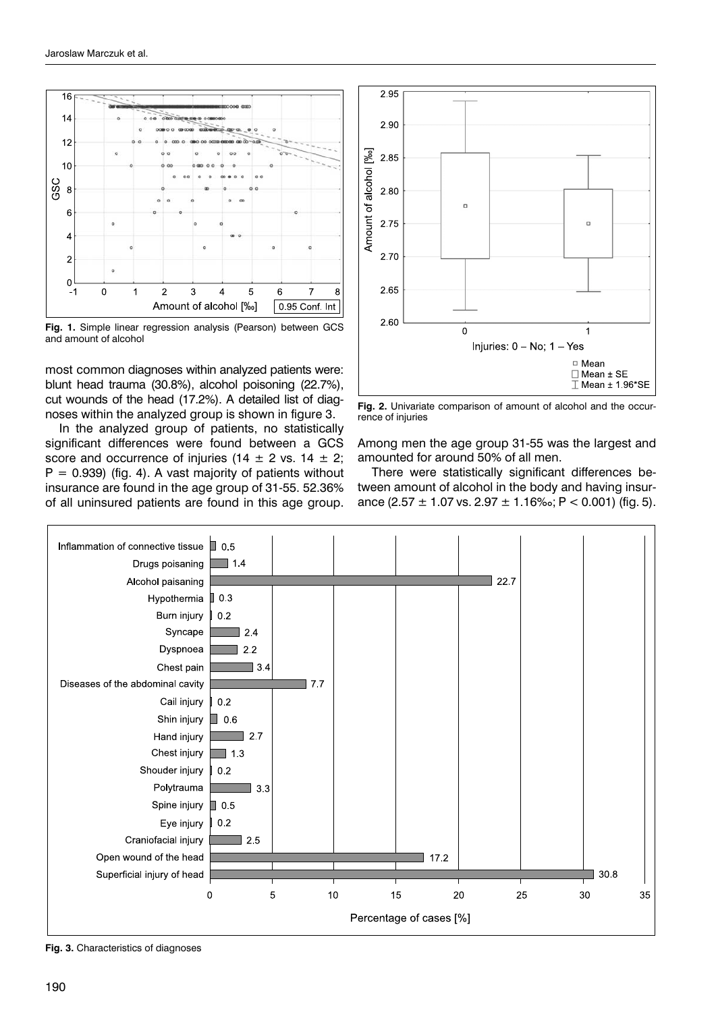

**Fig. 1.** Simple linear regression analysis (Pearson) between GCS and amount of alcohol

most common diagnoses within analyzed patients were: blunt head trauma (30.8%), alcohol poisoning (22.7%), cut wounds of the head (17.2%). A detailed list of diagnoses within the analyzed group is shown in figure 3.

In the analyzed group of patients, no statistically significant differences were found between a GCS score and occurrence of injuries (14  $\pm$  2 vs. 14  $\pm$  2;  $P = 0.939$ ) (fig. 4). A vast majority of patients without insurance are found in the age group of 31-55. 52.36% of all uninsured patients are found in this age group.



**Fig. 2.** Univariate comparison of amount of alcohol and the occurrence of injuries

Among men the age group 31-55 was the largest and amounted for around 50% of all men.

There were statistically significant differences between amount of alcohol in the body and having insurance (2.57  $\pm$  1.07 vs. 2.97  $\pm$  1.16‰; P < 0.001) (fig. 5).



**Fig. 3.** Characteristics of diagnoses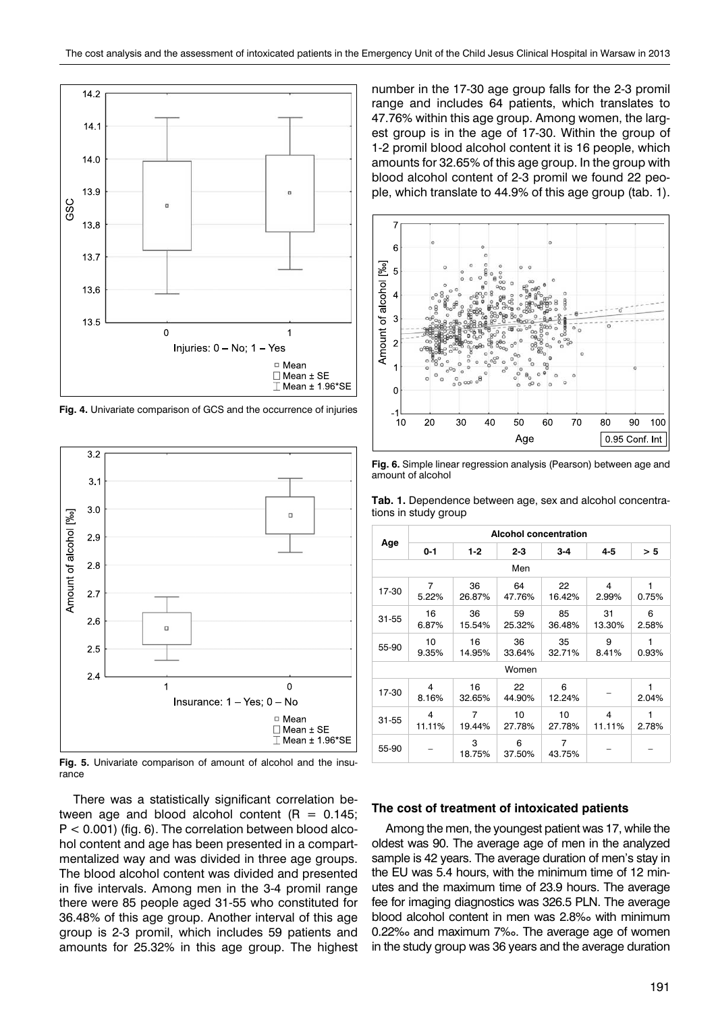

**Fig. 4.** Univariate comparison of GCS and the occurrence of injuries



**Fig. 5.** Univariate comparison of amount of alcohol and the insurance

There was a statistically significant correlation between age and blood alcohol content ( $R = 0.145$ ;  $P < 0.001$ ) (fig. 6). The correlation between blood alcohol content and age has been presented in a compartmentalized way and was divided in three age groups. The blood alcohol content was divided and presented in five intervals. Among men in the 3-4 promil range there were 85 people aged 31-55 who constituted for 36.48% of this age group. Another interval of this age group is 2-3 promil, which includes 59 patients and amounts for 25.32% in this age group. The highest number in the 17-30 age group falls for the 2-3 promil range and includes 64 patients, which translates to 47.76% within this age group. Among women, the largest group is in the age of 17-30. Within the group of 1-2 promil blood alcohol content it is 16 people, which amounts for 32.65% of this age group. In the group with blood alcohol content of 2-3 promil we found 22 people, which translate to 44.9% of this age group (tab. 1).



**Fig. 6.** Simple linear regression analysis (Pearson) between age and amount of alcohol

| <b>Tab. 1.</b> Dependence between age, sex and alcohol concentra- |  |  |  |
|-------------------------------------------------------------------|--|--|--|
| tions in study group                                              |  |  |  |

|           | <b>Alcohol concentration</b> |              |              |              |              |            |  |  |
|-----------|------------------------------|--------------|--------------|--------------|--------------|------------|--|--|
| Age       | $0 - 1$                      | 1-2          | $2 - 3$      | $3 - 4$      | 4-5          | > 5        |  |  |
| Men       |                              |              |              |              |              |            |  |  |
| 17-30     | 7<br>5.22%                   | 36<br>26.87% | 64<br>47.76% | 22<br>16.42% | 4<br>2.99%   | 1<br>0.75% |  |  |
| $31 - 55$ | 16<br>6.87%                  | 36<br>15.54% | 59<br>25.32% | 85<br>36.48% | 31<br>13.30% | 6<br>2.58% |  |  |
| 55-90     | 10<br>9.35%                  | 16<br>14.95% | 36<br>33.64% | 35<br>32.71% | 9<br>8.41%   | 1<br>0.93% |  |  |
| Women     |                              |              |              |              |              |            |  |  |
| 17-30     | 4<br>8.16%                   | 16<br>32.65% | 22<br>44.90% | 6<br>12.24%  |              | 1<br>2.04% |  |  |
| $31 - 55$ | 4<br>11.11%                  | 7<br>19.44%  | 10<br>27.78% | 10<br>27.78% | 4<br>11.11%  | 1<br>2.78% |  |  |
| 55-90     |                              | 3<br>18.75%  | 6<br>37.50%  | 7<br>43.75%  |              |            |  |  |

## **The cost of treatment of intoxicated patients**

Among the men, the youngest patient was 17, while the oldest was 90. The average age of men in the analyzed sample is 42 years. The average duration of men's stay in the EU was 5.4 hours, with the minimum time of 12 minutes and the maximum time of 23.9 hours. The average fee for imaging diagnostics was 326.5 PLN. The average blood alcohol content in men was 2.8‰ with minimum 0.22‰ and maximum 7‰. The average age of women in the study group was 36 years and the average duration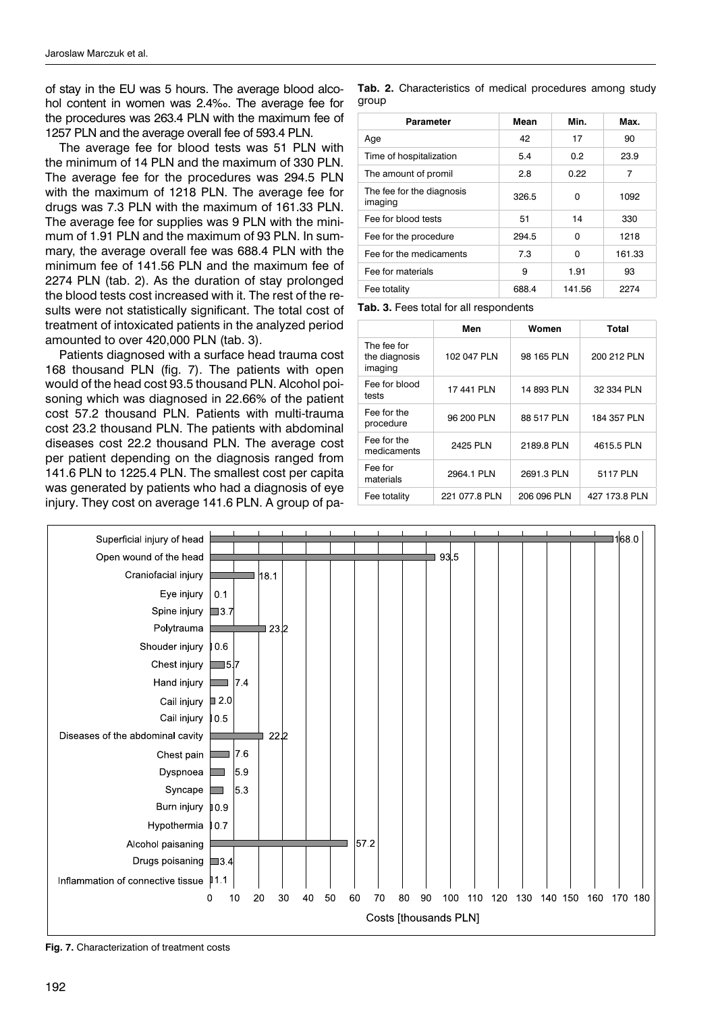of stay in the EU was 5 hours. The average blood alcohol content in women was 2.4‰. The average fee for the procedures was 263.4 PLN with the maximum fee of 1257 PLN and the average overall fee of 593.4 PLN.

The average fee for blood tests was 51 PLN with the minimum of 14 PLN and the maximum of 330 PLN. The average fee for the procedures was 294.5 PLN with the maximum of 1218 PLN. The average fee for drugs was 7.3 PLN with the maximum of 161.33 PLN. The average fee for supplies was 9 PLN with the minimum of 1.91 PLN and the maximum of 93 PLN. In summary, the average overall fee was 688.4 PLN with the minimum fee of 141.56 PLN and the maximum fee of 2274 PLN (tab. 2). As the duration of stay prolonged the blood tests cost increased with it. The rest of the results were not statistically significant. The total cost of treatment of intoxicated patients in the analyzed period amounted to over 420,000 PLN (tab. 3).

Patients diagnosed with a surface head trauma cost 168 thousand PLN (fig. 7). The patients with open would of the head cost 93.5 thousand PLN. Alcohol poisoning which was diagnosed in 22.66% of the patient cost 57.2 thousand PLN. Patients with multi-trauma cost 23.2 thousand PLN. The patients with abdominal diseases cost 22.2 thousand PLN. The average cost per patient depending on the diagnosis ranged from 141.6 PLN to 1225.4 PLN. The smallest cost per capita was generated by patients who had a diagnosis of eye injury. They cost on average 141.6 PLN. A group of pa**Tab. 2.** Characteristics of medical procedures among study group

| Parameter                            | Mean  | Min.   | Max.   |
|--------------------------------------|-------|--------|--------|
| Age                                  | 42    | 17     | 90     |
| Time of hospitalization              | 5.4   | 0.2    | 23.9   |
| The amount of promil                 | 2.8   | 0.22   | 7      |
| The fee for the diagnosis<br>imaging | 326.5 | O      | 1092   |
| Fee for blood tests                  | 51    | 14     | 330    |
| Fee for the procedure                | 294.5 | O      | 1218   |
| Fee for the medicaments              | 7.3   | O      | 161.33 |
| Fee for materials                    | 9     | 1.91   | 93     |
| Fee totality                         | 688.4 | 141.56 | 2274   |

**Tab. 3.** Fees total for all respondents

|                                         | Men           | Women       | Total         |
|-----------------------------------------|---------------|-------------|---------------|
| The fee for<br>the diagnosis<br>imaging | 102 047 PLN   | 98 165 PLN  | 200 212 PLN   |
| Fee for blood<br>tests                  | 17 441 PLN    | 14 893 PLN  | 32 334 PLN    |
| Fee for the<br>procedure                | 96 200 PLN    | 88 517 PLN  | 184 357 PLN   |
| Fee for the<br>medicaments              | 2425 PLN      | 2189.8 PLN  | 4615.5 PLN    |
| Fee for<br>materials                    | 2964.1 PLN    | 2691.3 PLN  | 5117 PLN      |
| Fee totality                            | 221 077.8 PLN | 206 096 PLN | 427 173.8 PLN |



**Fig. 7.** Characterization of treatment costs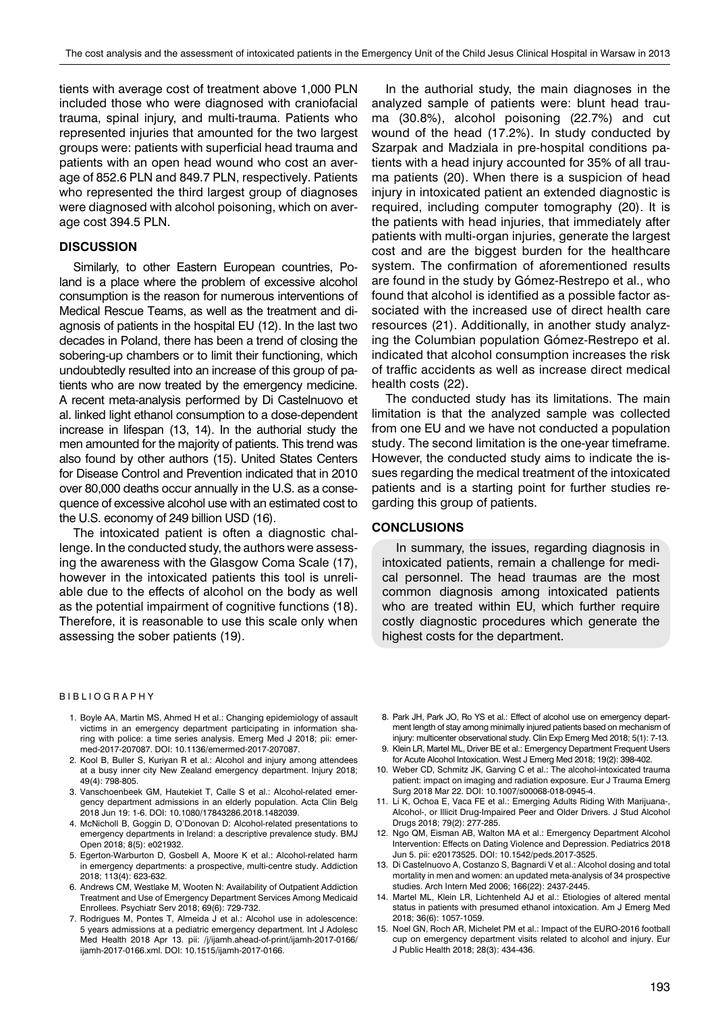tients with average cost of treatment above 1,000 PLN included those who were diagnosed with craniofacial trauma, spinal injury, and multi-trauma. Patients who represented injuries that amounted for the two largest groups were: patients with superficial head trauma and patients with an open head wound who cost an average of 852.6 PLN and 849.7 PLN, respectively. Patients who represented the third largest group of diagnoses were diagnosed with alcohol poisoning, which on average cost 394.5 PLN.

## **DISCUSSION**

Similarly, to other Eastern European countries, Poland is a place where the problem of excessive alcohol consumption is the reason for numerous interventions of Medical Rescue Teams, as well as the treatment and diagnosis of patients in the hospital EU (12). In the last two decades in Poland, there has been a trend of closing the sobering-up chambers or to limit their functioning, which undoubtedly resulted into an increase of this group of patients who are now treated by the emergency medicine. A recent meta-analysis performed by Di Castelnuovo et al. linked light ethanol consumption to a dose-dependent increase in lifespan (13, 14). In the authorial study the men amounted for the majority of patients. This trend was also found by other authors (15). United States Centers for Disease Control and Prevention indicated that in 2010 over 80,000 deaths occur annually in the U.S. as a consequence of excessive alcohol use with an estimated cost to the U.S. economy of 249 billion USD (16).

The intoxicated patient is often a diagnostic challenge. In the conducted study, the authors were assessing the awareness with the Glasgow Coma Scale (17), however in the intoxicated patients this tool is unreliable due to the effects of alcohol on the body as well as the potential impairment of cognitive functions (18). Therefore, it is reasonable to use this scale only when assessing the sober patients (19).

#### BIBLIOGRAPHY

- 1. Boyle AA, Martin MS, Ahmed H et al.: Changing epidemiology of assault victims in an emergency department participating in information sharing with police: a time series analysis. Emerg Med J 2018; pii: emermed-2017-207087. DOI: 10.1136/emermed-2017-207087.
- 2. Kool B, Buller S, Kuriyan R et al.: Alcohol and injury among attendees at a busy inner city New Zealand emergency department. Injury 2018; 49(4): 798-805.
- 3. Vanschoenbeek GM, Hautekiet T, Calle S et al.: Alcohol-related emergency department admissions in an elderly population. Acta Clin Belg 2018 Jun 19: 1-6. DOI: 10.1080/17843286.2018.1482039.
- 4. McNicholl B, Goggin D, O'Donovan D: Alcohol-related presentations to emergency departments in Ireland: a descriptive prevalence study. BMJ Open 2018; 8(5): e021932.
- 5. Egerton-Warburton D, Gosbell A, Moore K et al.: Alcohol-related harm in emergency departments: a prospective, multi-centre study. Addiction 2018; 113(4): 623-632.
- 6. Andrews CM, Westlake M, Wooten N: Availability of Outpatient Addiction Treatment and Use of Emergency Department Services Among Medicaid Enrollees. Psychiatr Serv 2018; 69(6): 729-732.
- 7. Rodrigues M, Pontes T, Almeida J et al.: Alcohol use in adolescence: 5 years admissions at a pediatric emergency department. Int J Adolesc Med Health 2018 Apr 13. pii: /j/ijamh.ahead-of-print/ijamh-2017-0166/ ijamh-2017-0166.xml. DOI: 10.1515/ijamh-2017-0166.

In the authorial study, the main diagnoses in the analyzed sample of patients were: blunt head trauma (30.8%), alcohol poisoning (22.7%) and cut wound of the head (17.2%). In study conducted by Szarpak and Madziala in pre-hospital conditions patients with a head injury accounted for 35% of all trauma patients (20). When there is a suspicion of head injury in intoxicated patient an extended diagnostic is required, including computer tomography (20). It is the patients with head injuries, that immediately after patients with multi-organ injuries, generate the largest cost and are the biggest burden for the healthcare system. The confirmation of aforementioned results are found in the study by Gómez-Restrepo et al., who found that alcohol is identified as a possible factor associated with the increased use of direct health care resources (21). Additionally, in another study analyzing the Columbian population Gómez-Restrepo et al. indicated that alcohol consumption increases the risk of traffic accidents as well as increase direct medical health costs (22).

The conducted study has its limitations. The main limitation is that the analyzed sample was collected from one EU and we have not conducted a population study. The second limitation is the one-year timeframe. However, the conducted study aims to indicate the issues regarding the medical treatment of the intoxicated patients and is a starting point for further studies regarding this group of patients.

#### **CONCLUSIONS**

In summary, the issues, regarding diagnosis in intoxicated patients, remain a challenge for medical personnel. The head traumas are the most common diagnosis among intoxicated patients who are treated within EU, which further require costly diagnostic procedures which generate the highest costs for the department.

- 8. Park JH, Park JO, Ro YS et al.: Effect of alcohol use on emergency department length of stay among minimally injured patients based on mechanism of injury: multicenter observational study. Clin Exp Emerg Med 2018; 5(1): 7-13.
- 9. Klein LR, Martel ML, Driver BE et al.: Emergency Department Frequent Users for Acute Alcohol Intoxication. West J Emerg Med 2018; 19(2): 398-402.
- 10. Weber CD, Schmitz JK, Garving C et al.: The alcohol-intoxicated trauma patient: impact on imaging and radiation exposure. Eur J Trauma Emerg Surg 2018 Mar 22. DOI: 10.1007/s00068-018-0945-4.
- 11. Li K, Ochoa E, Vaca FE et al.: Emerging Adults Riding With Marijuana-, Alcohol-, or Illicit Drug-Impaired Peer and Older Drivers. J Stud Alcohol Drugs 2018; 79(2): 277-285.
- 12. Ngo QM, Eisman AB, Walton MA et al.: Emergency Department Alcohol Intervention: Effects on Dating Violence and Depression. Pediatrics 2018 Jun 5. pii: e20173525. DOI: 10.1542/peds.2017-3525.
- 13. Di Castelnuovo A, Costanzo S, Bagnardi V et al.: Alcohol dosing and total mortality in men and women: an updated meta-analysis of 34 prospective studies. Arch Intern Med 2006; 166(22): 2437-2445.
- 14. Martel ML, Klein LR, Lichtenheld AJ et al.: Etiologies of altered mental status in patients with presumed ethanol intoxication. Am J Emerg Med 2018; 36(6): 1057-1059.
- 15. Noel GN, Roch AR, Michelet PM et al.: Impact of the EURO-2016 football cup on emergency department visits related to alcohol and injury. Eur J Public Health 2018; 28(3): 434-436.